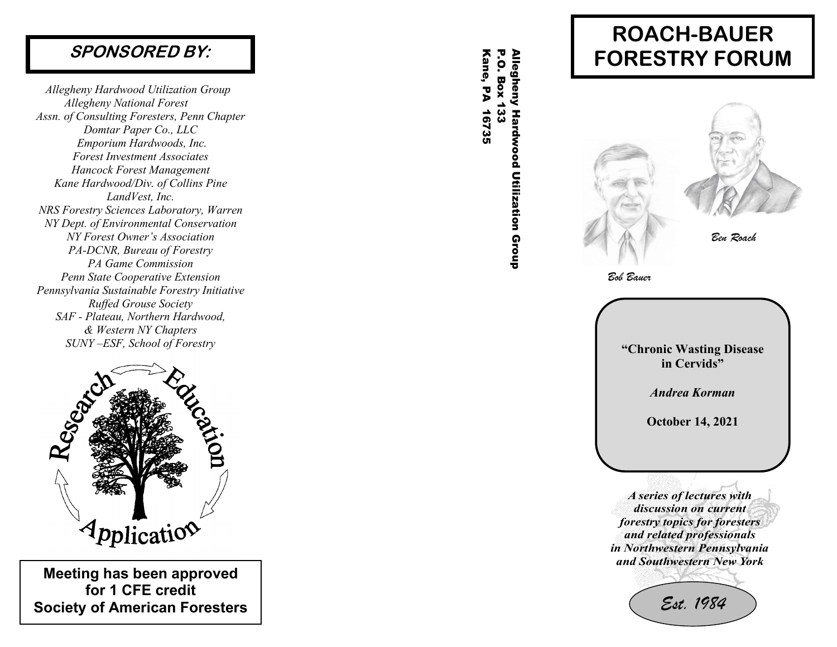## **SPONSORED BY:**

*Allegheny Hardwood Utilization Group Allegheny National Forest Assn. of Consulting Foresters, Penn Chapter Domtar Paper Co., LLC Emporium Hardwoods, Inc. Forest Investment Associates Hancock Forest Management Kane Hardwood/Div. of Collins Pine Land Vest, Inc. NRS Forestry Sciences Laboratory, Warren NY Dept. of Environmental Conservation NY Forest Owner's Association PA -DCNR, Bureau of Forestry PA Game Commission Penn State Cooperative Extension Pennsylvania Sustainable Forestry Initiative Ruffed Grouse Society SAF - Plateau, Northern Hardwood, & Western NY Chapters SUNY –ESF, School of Forestry* 



**Meeting has been approved for 1 CFE credit Society of American Foresters**

Kane, PA 16735 P.O. Box 133 Allegheny Hardwood Utilization Group **P.O. Box 133** Allegheny Hardwood Utilization Group Kane, PA 16735

# **ROACH -BAUER FORESTRY FORUM**



*A series of lectures with discussion on current forestry topics for foresters and related professionals in Northwestern Pennsylvania and Southwestern New York*

*Est. 1984*